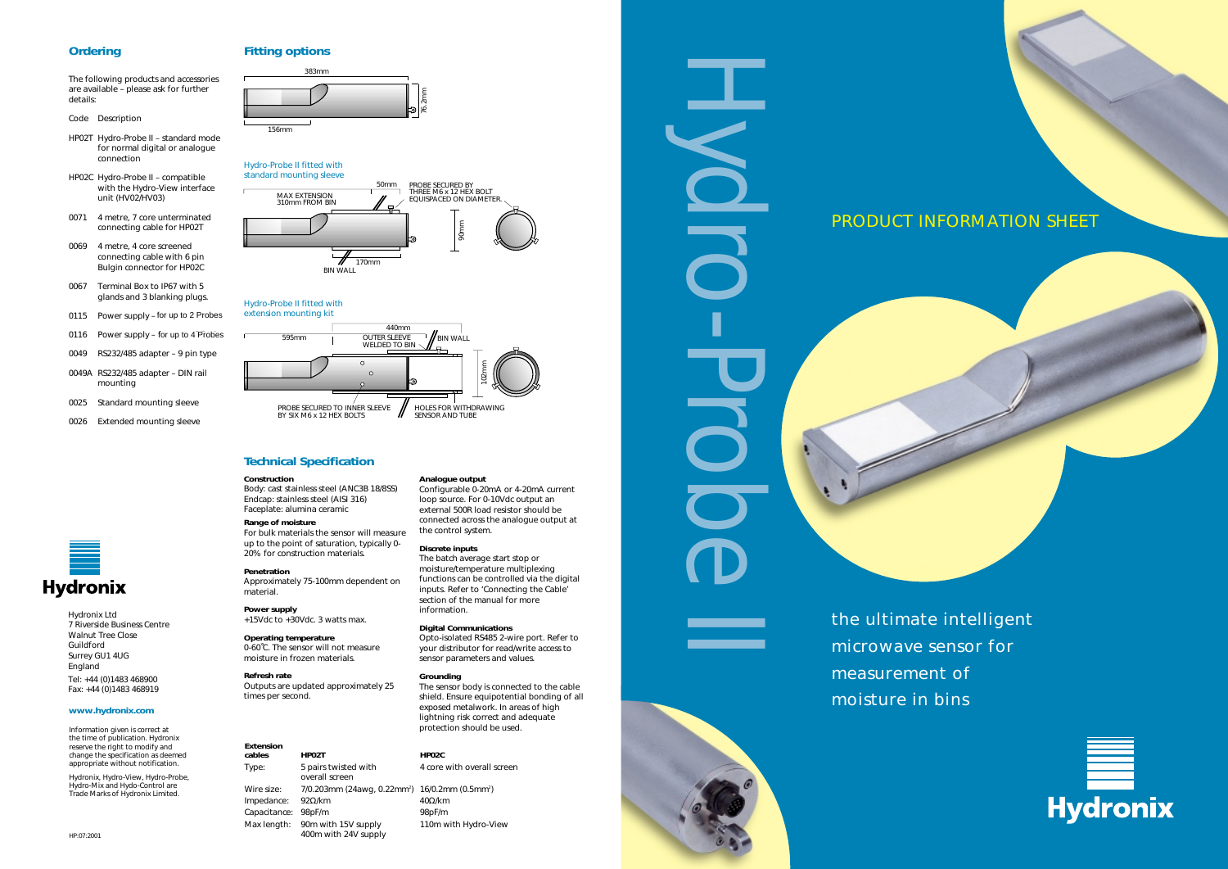#### **Ordering**

The following products and accessories are available – please ask for further details:

- *Code Description*
- HP02T Hydro-Probe II standard mode for normal digital or analogue connection
- HP02C Hydro-Probe II compatible with the Hydro-View interface unit (HV02/HV03)
- 0071 4 metre, 7 core unterminated connecting cable for HP02T
- 0069 4 metre, 4 core screened connecting cable with 6 pin Bulgin connector for HP02C
- 0067 Terminal Box to IP67 with 5 glands and 3 blanking plugs.
- 0115 Power supply for up to 2 Probes
- 0116 Power supply for up to 4 Probes
- 
- 0049A RS232/485 adapter DIN rail mounting
- 0025 Standard mounting sleeve
- 0026 Extended mounting sleeve



#### *Hydro-Probe II fitted with extension mounting kit*

#### *Hydro-Probe II fitted with standard mounting sleeve*



# PRODUCT INFORMATION SHEET





*the ultimate intelligent microwave sensor for measurement of moisture in bins*

Hydro-Probe II

Information given is correct at the time of publication. Hydronix reserve the right to modify and change the specification as deemed appropriate without notification.

The batch average start stop or moisture/temperature multiplexing functions can be controlled via the digital inputs. Refer to 'Connecting the Cable' section of the manual for more

Hydronix, Hydro-View, Hydro-Probe, Hydro-Mix and Hydo-Control are Trade Marks of Hydronix Limited.









 $40Ω/km$ *Max length:* 90m with 15V supply 110m with Hydro-View

#### **Technical Specification**

#### **Construction**

*Body:* cast stainless steel (ANC3B 18/8SS) *Endcap:* stainless steel (AISI 316) *Faceplate:* alumina ceramic

- **Hydronix** 
	- Hydronix Ltd 7 Riverside Business Centre Walnut Tree Close Guildford Surrey GU1 4UG England Tel: +44 (0)1483 468900 Fax: +44 (0)1483 468919

#### **Range of moisture**

For bulk materials the sensor will measure up to the point of saturation, typically 0- 20% for construction materials.

#### **Penetration**

Approximately 75-100mm dependent on material.

**Power supply** +15Vdc to +30Vdc. 3 watts max.

**Operating temperature** 0-60˚C. The sensor will not measure moisture in frozen materials.

**Refresh rate** Outputs are updated approximately 25 times per second.

**Analogue output**

Configurable 0-20mA or 4-20mA current loop source. For 0-10Vdc output an external 500R load resistor should be connected across the analogue output at

the control system. **Discrete inputs**

information.

**Digital Communications**

Opto-isolated RS485 2-wire port. Refer to your distributor for read/write access to

sensor parameters and values.

**Grounding**

The sensor body is connected to the cable shield. Ensure equipotential bonding of all exposed metalwork. In areas of high lightning risk correct and adequate protection should be used.

#### **Extension cables HP02T HP02C** overall screen Wire size: 7/0.203mm (24awg, 0.22mm<sup>2</sup>) 16/0.2mm (0.5mm<sup>2</sup>) *Impedance:* 92Ω/km *Capacitance:* 98pF/m 98pF/m

*Type:* 5 pairs twisted with 4 core with overall screen

400m with 24V supply

#### **www.hydronix.com**